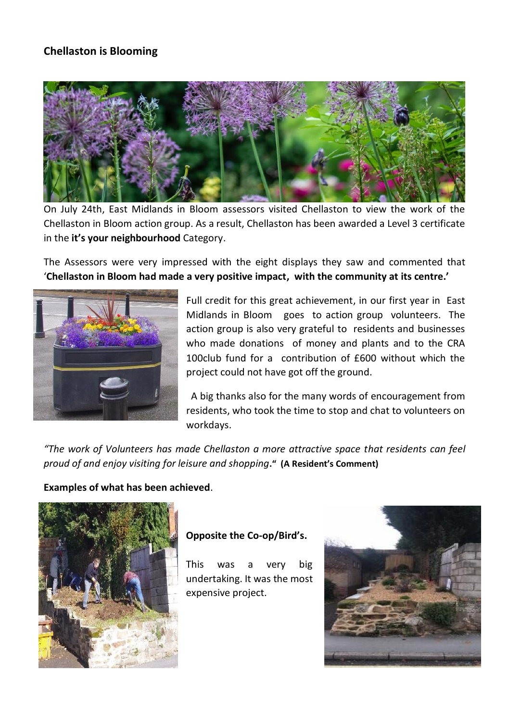## **Chellaston is Blooming**



On July 24th, East Midlands in Bloom assessors visited Chellaston to view the work of the Chellaston in Bloom action group. As a result, Chellaston has been awarded a Level 3 certificate in the **it's your neighbourhood** Category.

The Assessors were very impressed with the eight displays they saw and commented that '**Chellaston in Bloom had made a very positive impact, with the community at its centre.'**



Full credit for this great achievement, in our first year in East Midlands in Bloom goes to action group volunteers. The action group is also very grateful to residents and businesses who made donations of money and plants and to the CRA 100club fund for a contribution of £600 without which the project could not have got off the ground.

A big thanks also for the many words of encouragement from residents, who took the time to stop and chat to volunteers on workdays.

*"The work of Volunteers has made Chellaston a more attractive space that residents can feel proud of and enjoy visiting for leisure and shopping***." (A Resident's Comment)**

#### **Examples of what has been achieved**.



#### **Opposite the Co-op/Bird's.**

This was a very big undertaking. It was the most expensive project.